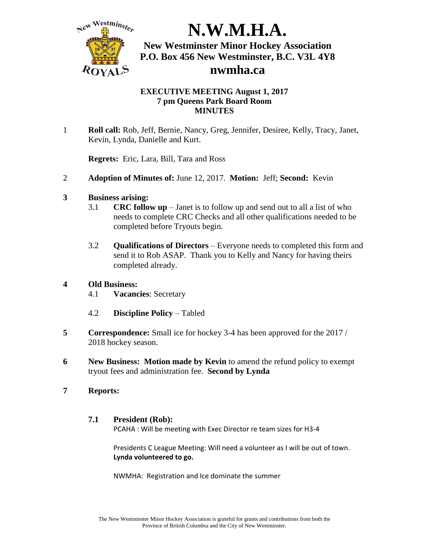

#### **EXECUTIVE MEETING August 1, 2017 7 pm Queens Park Board Room MINUTES**

1 **Roll call:** Rob, Jeff, Bernie, Nancy, Greg, Jennifer, Desiree, Kelly, Tracy, Janet, Kevin, Lynda, Danielle and Kurt.

**Regrets:** Eric, Lara, Bill, Tara and Ross

2 **Adoption of Minutes of:** June 12, 2017. **Motion:** Jeff; **Second:** Kevin

#### **3 Business arising:**

- 3.1 **CRC follow up** Janet is to follow up and send out to all a list of who needs to complete CRC Checks and all other qualifications needed to be completed before Tryouts begin.
- 3.2 **Qualifications of Directors** Everyone needs to completed this form and send it to Rob ASAP. Thank you to Kelly and Nancy for having theirs completed already.

## **4 Old Business:**

- 4.1 **Vacancies**: Secretary
- 4.2 **Discipline Policy** Tabled
- **5 Correspondence:** Small ice for hockey 3-4 has been approved for the 2017 / 2018 hockey season.
- **6 New Business: Motion made by Kevin** to amend the refund policy to exempt tryout fees and administration fee. **Second by Lynda**

#### **7 Reports:**

#### **7.1 President (Rob):**

PCAHA : Will be meeting with Exec Director re team sizes for H3-4

Presidents C League Meeting: Will need a volunteer as I will be out of town. **Lynda volunteered to go.**

NWMHA: Registration and Ice dominate the summer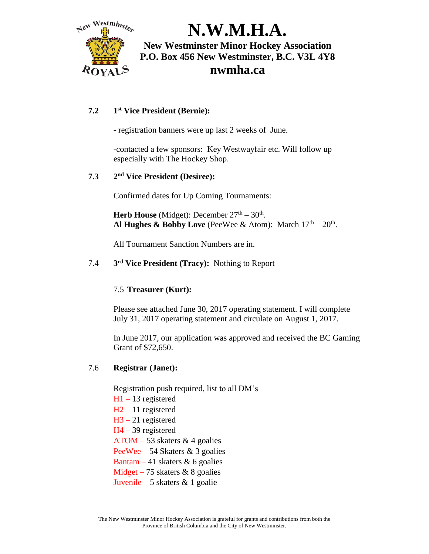

#### **7.2 1 st Vice President (Bernie):**

- registration banners were up last 2 weeks of June.

-contacted a few sponsors: Key Westwayfair etc. Will follow up especially with The Hockey Shop.

#### **7.3 2 nd Vice President (Desiree):**

Confirmed dates for Up Coming Tournaments:

**Herb House** (Midget): December  $27<sup>th</sup> - 30<sup>th</sup>$ . Al Hughes & Bobby Love (PeeWee & Atom): March  $17<sup>th</sup> - 20<sup>th</sup>$ .

All Tournament Sanction Numbers are in.

7.4 **3 rd Vice President (Tracy):** Nothing to Report

#### 7.5 **Treasurer (Kurt):**

Please see attached June 30, 2017 operating statement. I will complete July 31, 2017 operating statement and circulate on August 1, 2017.

In June 2017, our application was approved and received the BC Gaming Grant of \$72,650.

#### 7.6 **Registrar (Janet):**

Registration push required, list to all DM's H1 – 13 registered H2 – 11 registered H3 – 21 registered H4 – 39 registered ATOM – 53 skaters & 4 goalies PeeWee – 54 Skaters & 3 goalies Bantam – 41 skaters  $\&$  6 goalies Midget – 75 skaters & 8 goalies Juvenile – 5 skaters & 1 goalie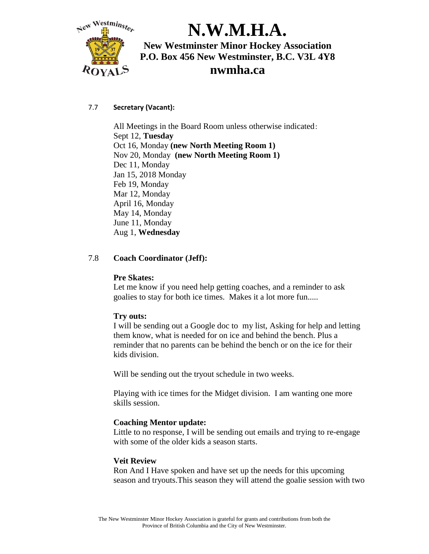

#### 7.7 **Secretary (Vacant):**

All Meetings in the Board Room unless otherwise indicated: Sept 12, **Tuesday** Oct 16, Monday **(new North Meeting Room 1)** Nov 20, Monday **(new North Meeting Room 1)** Dec 11, Monday Jan 15, 2018 Monday Feb 19, Monday Mar 12, Monday April 16, Monday May 14, Monday June 11, Monday Aug 1, **Wednesday**

#### 7.8 **Coach Coordinator (Jeff):**

#### **Pre Skates:**

Let me know if you need help getting coaches, and a reminder to ask goalies to stay for both ice times. Makes it a lot more fun.....

#### **Try outs:**

I will be sending out a Google doc to my list, Asking for help and letting them know, what is needed for on ice and behind the bench. Plus a reminder that no parents can be behind the bench or on the ice for their kids division.

Will be sending out the tryout schedule in two weeks.

Playing with ice times for the Midget division. I am wanting one more skills session.

#### **Coaching Mentor update:**

Little to no response, I will be sending out emails and trying to re-engage with some of the older kids a season starts.

#### **Veit Review**

Ron And I Have spoken and have set up the needs for this upcoming season and tryouts.This season they will attend the goalie session with two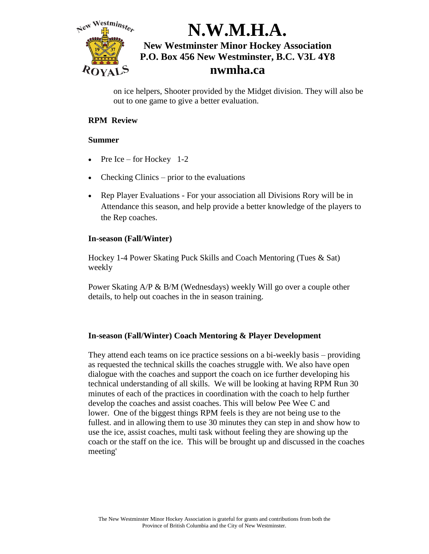

on ice helpers, Shooter provided by the Midget division. They will also be out to one game to give a better evaluation.

### **RPM Review**

#### **Summer**

- Pre Ice for Hockey  $1-2$
- Checking Clinics prior to the evaluations
- Rep Player Evaluations For your association all Divisions Rory will be in Attendance this season, and help provide a better knowledge of the players to the Rep coaches.

#### **In-season (Fall/Winter)**

Hockey 1-4 Power Skating Puck Skills and Coach Mentoring (Tues & Sat) weekly

Power Skating A/P & B/M (Wednesdays) weekly Will go over a couple other details, to help out coaches in the in season training.

#### **In-season (Fall/Winter) Coach Mentoring & Player Development**

They attend each teams on ice practice sessions on a bi-weekly basis – providing as requested the technical skills the coaches struggle with. We also have open dialogue with the coaches and support the coach on ice further developing his technical understanding of all skills. We will be looking at having RPM Run 30 minutes of each of the practices in coordination with the coach to help further develop the coaches and assist coaches. This will below Pee Wee C and lower. One of the biggest things RPM feels is they are not being use to the fullest. and in allowing them to use 30 minutes they can step in and show how to use the ice, assist coaches, multi task without feeling they are showing up the coach or the staff on the ice. This will be brought up and discussed in the coaches meeting'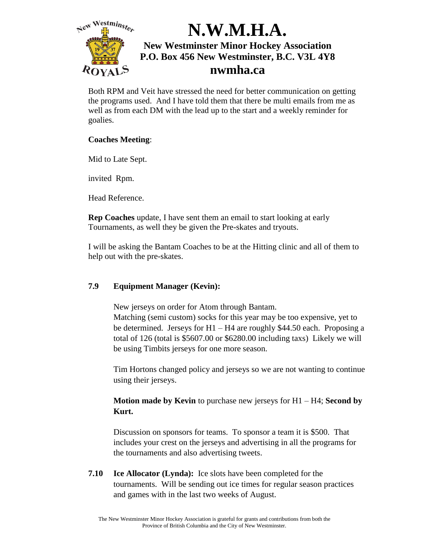

Both RPM and Veit have stressed the need for better communication on getting the programs used. And I have told them that there be multi emails from me as well as from each DM with the lead up to the start and a weekly reminder for goalies.

### **Coaches Meeting**:

Mid to Late Sept.

invited Rpm.

Head Reference.

**Rep Coaches** update, I have sent them an email to start looking at early Tournaments, as well they be given the Pre-skates and tryouts.

I will be asking the Bantam Coaches to be at the Hitting clinic and all of them to help out with the pre-skates.

## **7.9 Equipment Manager (Kevin):**

New jerseys on order for Atom through Bantam. Matching (semi custom) socks for this year may be too expensive, yet to be determined. Jerseys for H1 – H4 are roughly \$44.50 each. Proposing a total of 126 (total is \$5607.00 or \$6280.00 including taxs) Likely we will be using Timbits jerseys for one more season.

Tim Hortons changed policy and jerseys so we are not wanting to continue using their jerseys.

**Motion made by Kevin** to purchase new jerseys for H1 – H4; **Second by Kurt.**

Discussion on sponsors for teams. To sponsor a team it is \$500. That includes your crest on the jerseys and advertising in all the programs for the tournaments and also advertising tweets.

**7.10 Ice Allocator (Lynda):** Ice slots have been completed for the tournaments. Will be sending out ice times for regular season practices and games with in the last two weeks of August.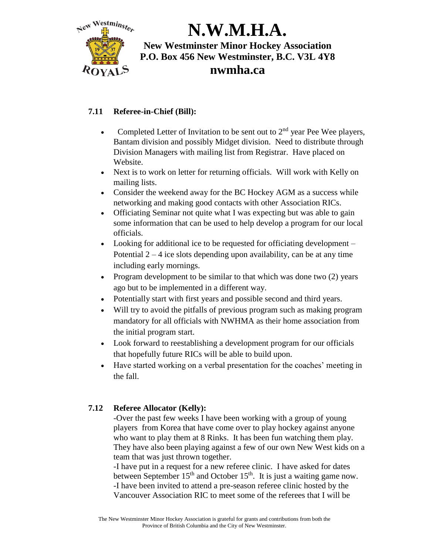

## **7.11 Referee-in-Chief (Bill):**

- Completed Letter of Invitation to be sent out to 2nd year Pee Wee players, Bantam division and possibly Midget division. Need to distribute through Division Managers with mailing list from Registrar. Have placed on Website.
- Next is to work on letter for returning officials. Will work with Kelly on mailing lists.
- Consider the weekend away for the BC Hockey AGM as a success while networking and making good contacts with other Association RICs.
- Officiating Seminar not quite what I was expecting but was able to gain some information that can be used to help develop a program for our local officials.
- Looking for additional ice to be requested for officiating development Potential  $2 - 4$  ice slots depending upon availability, can be at any time including early mornings.
- Program development to be similar to that which was done two  $(2)$  years ago but to be implemented in a different way.
- Potentially start with first years and possible second and third years.
- Will try to avoid the pitfalls of previous program such as making program mandatory for all officials with NWHMA as their home association from the initial program start.
- Look forward to reestablishing a development program for our officials that hopefully future RICs will be able to build upon.
- Have started working on a verbal presentation for the coaches' meeting in the fall.

## **7.12 Referee Allocator (Kelly):**

-Over the past few weeks I have been working with a group of young players from Korea that have come over to play hockey against anyone who want to play them at 8 Rinks. It has been fun watching them play. They have also been playing against a few of our own New West kids on a team that was just thrown together.

-I have put in a request for a new referee clinic. I have asked for dates between September  $15<sup>th</sup>$  and October  $15<sup>th</sup>$ . It is just a waiting game now. -I have been invited to attend a pre-season referee clinic hosted by the Vancouver Association RIC to meet some of the referees that I will be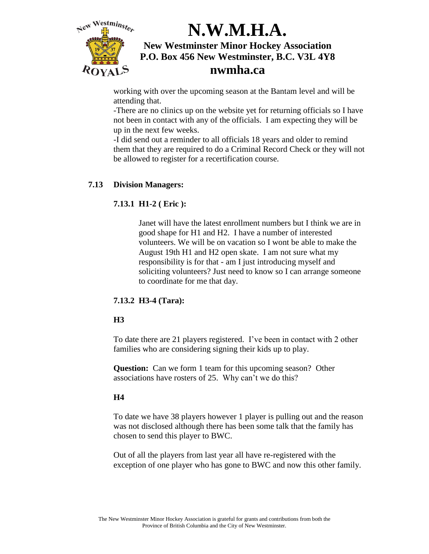

working with over the upcoming season at the Bantam level and will be attending that.

-There are no clinics up on the website yet for returning officials so I have not been in contact with any of the officials. I am expecting they will be up in the next few weeks.

-I did send out a reminder to all officials 18 years and older to remind them that they are required to do a Criminal Record Check or they will not be allowed to register for a recertification course.

### **7.13 Division Managers:**

### **7.13.1 H1-2 ( Eric ):**

Janet will have the latest enrollment numbers but I think we are in good shape for H1 and H2. I have a number of interested volunteers. We will be on vacation so I wont be able to make the August 19th H1 and H2 open skate. I am not sure what my responsibility is for that - am I just introducing myself and soliciting volunteers? Just need to know so I can arrange someone to coordinate for me that day.

#### **7.13.2 H3-4 (Tara):**

#### **H3**

To date there are 21 players registered. I've been in contact with 2 other families who are considering signing their kids up to play.

**Question:** Can we form 1 team for this upcoming season? Other associations have rosters of 25. Why can't we do this?

#### **H4**

To date we have 38 players however 1 player is pulling out and the reason was not disclosed although there has been some talk that the family has chosen to send this player to BWC.

Out of all the players from last year all have re-registered with the exception of one player who has gone to BWC and now this other family.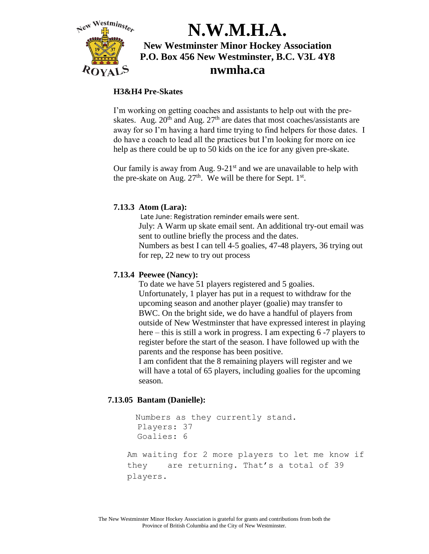

#### **H3&H4 Pre-Skates**

I'm working on getting coaches and assistants to help out with the preskates. Aug.  $20^{th}$  and Aug.  $27^{th}$  are dates that most coaches/assistants are away for so I'm having a hard time trying to find helpers for those dates. I do have a coach to lead all the practices but I'm looking for more on ice help as there could be up to 50 kids on the ice for any given pre-skate.

Our family is away from Aug.  $9-21<sup>st</sup>$  and we are unavailable to help with the pre-skate on Aug.  $27<sup>th</sup>$ . We will be there for Sept.  $1<sup>st</sup>$ .

### **7.13.3 Atom (Lara):**

Late June: Registration reminder emails were sent. July: A Warm up skate email sent. An additional try-out email was sent to outline briefly the process and the dates. Numbers as best I can tell 4-5 goalies, 47-48 players, 36 trying out for rep, 22 new to try out process

### **7.13.4 Peewee (Nancy):**

To date we have 51 players registered and 5 goalies. Unfortunately, 1 player has put in a request to withdraw for the upcoming season and another player (goalie) may transfer to BWC. On the bright side, we do have a handful of players from outside of New Westminster that have expressed interest in playing here – this is still a work in progress. I am expecting 6 -7 players to register before the start of the season. I have followed up with the parents and the response has been positive.

I am confident that the 8 remaining players will register and we will have a total of 65 players, including goalies for the upcoming season.

#### **7.13.05 Bantam (Danielle):**

```
 Numbers as they currently stand.
   Players: 37
   Goalies: 6
Am waiting for 2 more players to let me know if 
they are returning. That's a total of 39 
players.
```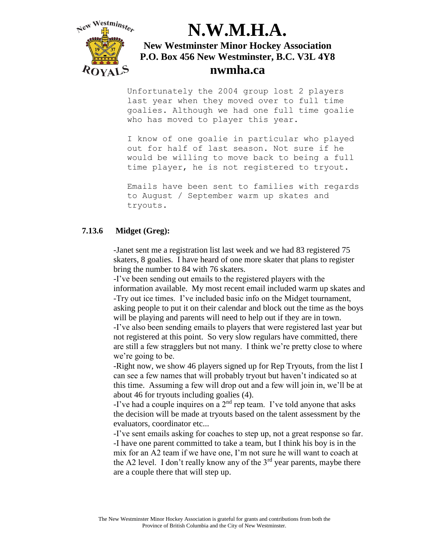

Unfortunately the 2004 group lost 2 players last year when they moved over to full time goalies. Although we had one full time goalie who has moved to player this year.

I know of one goalie in particular who played out for half of last season. Not sure if he would be willing to move back to being a full time player, he is not registered to tryout.

Emails have been sent to families with regards to August / September warm up skates and tryouts.

#### **7.13.6 Midget (Greg):**

-Janet sent me a registration list last week and we had 83 registered 75 skaters, 8 goalies. I have heard of one more skater that plans to register bring the number to 84 with 76 skaters.

-I've been sending out emails to the registered players with the information available. My most recent email included warm up skates and -Try out ice times. I've included basic info on the Midget tournament, asking people to put it on their calendar and block out the time as the boys will be playing and parents will need to help out if they are in town.

-I've also been sending emails to players that were registered last year but not registered at this point. So very slow regulars have committed, there are still a few stragglers but not many. I think we're pretty close to where we're going to be.

-Right now, we show 46 players signed up for Rep Tryouts, from the list I can see a few names that will probably tryout but haven't indicated so at this time. Assuming a few will drop out and a few will join in, we'll be at about 46 for tryouts including goalies (4).

-I've had a couple inquires on a  $2<sup>nd</sup>$  rep team. I've told anyone that asks the decision will be made at tryouts based on the talent assessment by the evaluators, coordinator etc...

-I've sent emails asking for coaches to step up, not a great response so far. -I have one parent committed to take a team, but I think his boy is in the mix for an A2 team if we have one, I'm not sure he will want to coach at the A2 level. I don't really know any of the  $3<sup>rd</sup>$  year parents, maybe there are a couple there that will step up.